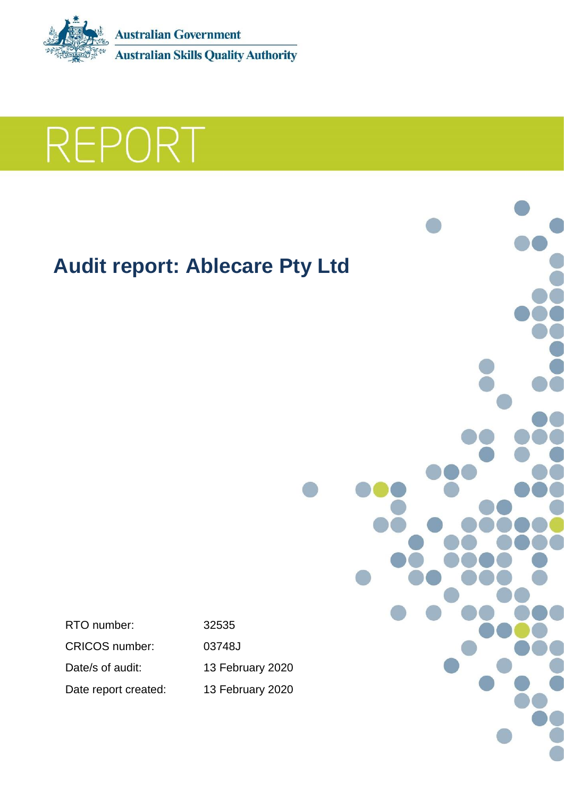



# **Audit report: Ablecare Pty Ltd**

RTO number: 32535 CRICOS number: 03748J Date/s of audit: 13 February 2020 Date report created: 13 February 2020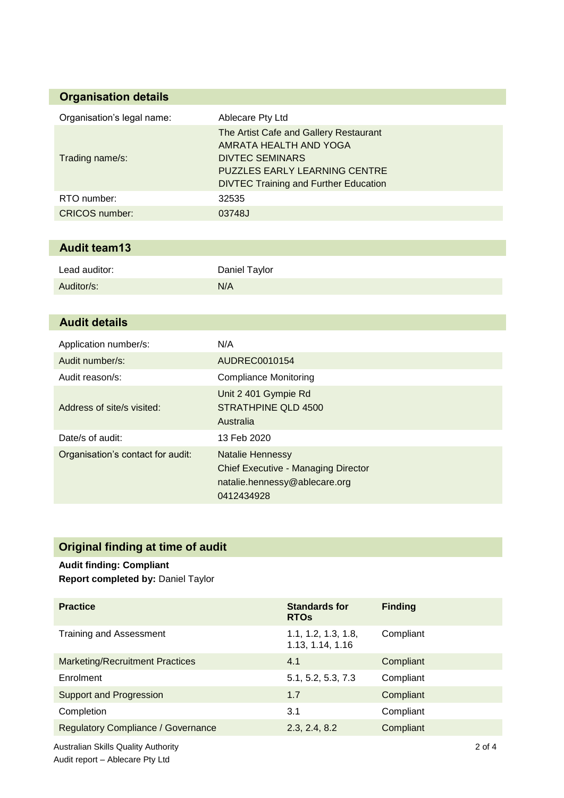### **Organisation details**

| Organisation's legal name: | Ablecare Pty Ltd                                                                                                                                                                   |
|----------------------------|------------------------------------------------------------------------------------------------------------------------------------------------------------------------------------|
| Trading name/s:            | The Artist Cafe and Gallery Restaurant<br>AMRATA HEALTH AND YOGA<br><b>DIVTEC SEMINARS</b><br><b>PUZZLES EARLY LEARNING CENTRE</b><br><b>DIVTEC Training and Further Education</b> |
| RTO number:                | 32535                                                                                                                                                                              |
| <b>CRICOS</b> number:      | 03748J                                                                                                                                                                             |

## **Audit team13**

| Lead auditor: | Daniel Taylor |
|---------------|---------------|
| Auditor/s:    | N/A           |

### **Audit details**

| Application number/s:             | N/A                                                                                                                  |
|-----------------------------------|----------------------------------------------------------------------------------------------------------------------|
| Audit number/s:                   | AUDREC0010154                                                                                                        |
| Audit reason/s:                   | <b>Compliance Monitoring</b>                                                                                         |
| Address of site/s visited:        | Unit 2 401 Gympie Rd<br>STRATHPINE QLD 4500<br>Australia                                                             |
| Date/s of audit:                  | 13 Feb 2020                                                                                                          |
| Organisation's contact for audit: | <b>Natalie Hennessy</b><br><b>Chief Executive - Managing Director</b><br>natalie.hennessy@ablecare.org<br>0412434928 |

# **Original finding at time of audit**

# **Audit finding: Compliant**

**Report completed by:** Daniel Taylor

| <b>Practice</b>                            | <b>Standards for</b><br><b>RTOs</b>     | <b>Finding</b> |          |
|--------------------------------------------|-----------------------------------------|----------------|----------|
| Training and Assessment                    | 1.1, 1.2, 1.3, 1.8,<br>1.13, 1.14, 1.16 | Compliant      |          |
| <b>Marketing/Recruitment Practices</b>     | 4.1                                     | Compliant      |          |
| Enrolment                                  | 5.1, 5.2, 5.3, 7.3                      | Compliant      |          |
| <b>Support and Progression</b>             | 1.7                                     | Compliant      |          |
| Completion                                 | 3.1                                     | Compliant      |          |
| <b>Regulatory Compliance / Governance</b>  | 2.3, 2.4, 8.2                           | Compliant      |          |
| <b>Australian Skills Quality Authority</b> |                                         |                | $2$ of 4 |

Audit report – Ablecare Pty Ltd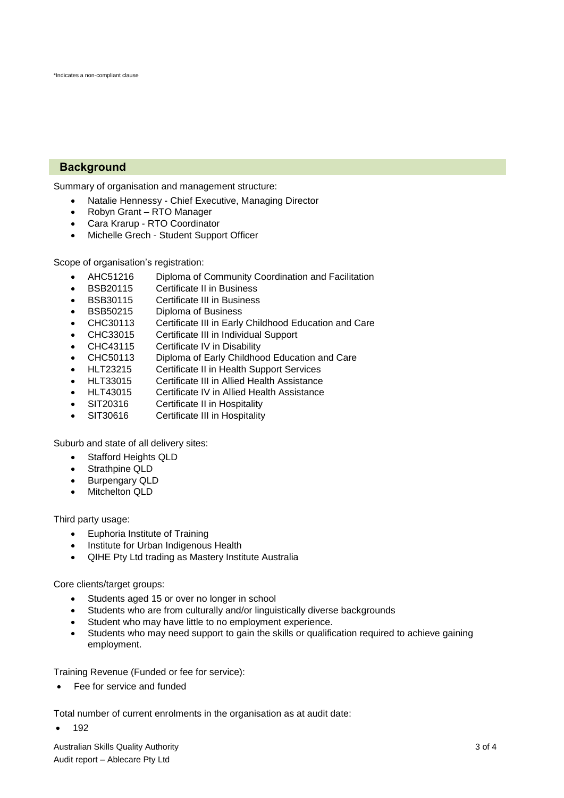### **Background**

Summary of organisation and management structure:

- Natalie Hennessy Chief Executive, Managing Director
- Robyn Grant RTO Manager
- Cara Krarup RTO Coordinator
- Michelle Grech Student Support Officer

Scope of organisation's registration:

- AHC51216 Diploma of Community Coordination and Facilitation
- BSB20115 Certificate II in Business
- BSB30115 Certificate III in Business
- BSB50215 Diploma of Business
- CHC30113 Certificate III in Early Childhood Education and Care
- CHC33015 Certificate III in Individual Support
- CHC43115 Certificate IV in Disability
- CHC50113 Diploma of Early Childhood Education and Care
- HLT23215 Certificate II in Health Support Services
- HLT33015 Certificate III in Allied Health Assistance
- HLT43015 Certificate IV in Allied Health Assistance
- SIT20316 Certificate II in Hospitality
- SIT30616 Certificate III in Hospitality

Suburb and state of all delivery sites:

- Stafford Heights QLD
- Strathpine QLD
- Burpengary QLD
- Mitchelton QLD

Third party usage:

- Euphoria Institute of Training
- Institute for Urban Indigenous Health
- QIHE Pty Ltd trading as Mastery Institute Australia

Core clients/target groups:

- Students aged 15 or over no longer in school
- Students who are from culturally and/or linguistically diverse backgrounds
- Student who may have little to no employment experience.
- Students who may need support to gain the skills or qualification required to achieve gaining employment.

Training Revenue (Funded or fee for service):

Fee for service and funded

Total number of current enrolments in the organisation as at audit date:

192